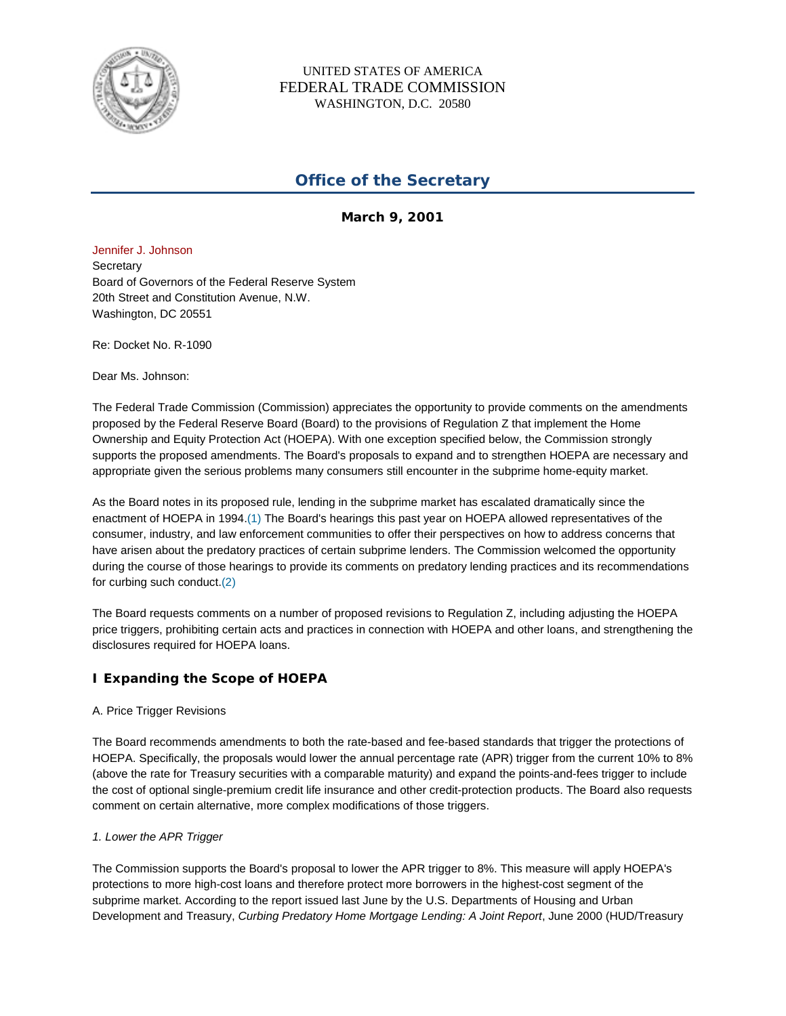

# UNITED STATES OF AMERICA FEDERAL TRADE COMMISSION WASHINGTON, D.C. 20580

# **Office of the Secretary**

**March 9, 2001**

Jennifer J. Johnson **Secretary** Board of Governors of the Federal Reserve System 20th Street and Constitution Avenue, N.W. Washington, DC 20551

Re: Docket No. R-1090

Dear Ms. Johnson:

The Federal Trade Commission (Commission) appreciates the opportunity to provide comments on the amendments proposed by the Federal Reserve Board (Board) to the provisions of Regulation Z that implement the Home Ownership and Equity Protection Act (HOEPA). With one exception specified below, the Commission strongly supports the proposed amendments. The Board's proposals to expand and to strengthen HOEPA are necessary and appropriate given the serious problems many consumers still encounter in the subprime home-equity market.

As the Board notes in its proposed rule, lending in the subprime market has escalated dramatically since the enactment of HOEPA in 1994.(1) The Board's hearings this past year on HOEPA allowed representatives of the consumer, industry, and law enforcement communities to offer their perspectives on how to address concerns that have arisen about the predatory practices of certain subprime lenders. The Commission welcomed the opportunity during the course of those hearings to provide its comments on predatory lending practices and its recommendations for curbing such conduct.(2)

The Board requests comments on a number of proposed revisions to Regulation Z, including adjusting the HOEPA price triggers, prohibiting certain acts and practices in connection with HOEPA and other loans, and strengthening the disclosures required for HOEPA loans.

# **I Expanding the Scope of HOEPA**

## A. Price Trigger Revisions

The Board recommends amendments to both the rate-based and fee-based standards that trigger the protections of HOEPA. Specifically, the proposals would lower the annual percentage rate (APR) trigger from the current 10% to 8% (above the rate for Treasury securities with a comparable maturity) and expand the points-and-fees trigger to include the cost of optional single-premium credit life insurance and other credit-protection products. The Board also requests comment on certain alternative, more complex modifications of those triggers.

## *1. Lower the APR Trigger*

The Commission supports the Board's proposal to lower the APR trigger to 8%. This measure will apply HOEPA's protections to more high-cost loans and therefore protect more borrowers in the highest-cost segment of the subprime market. According to the report issued last June by the U.S. Departments of Housing and Urban Development and Treasury, *Curbing Predatory Home Mortgage Lending: A Joint Report*, June 2000 (HUD/Treasury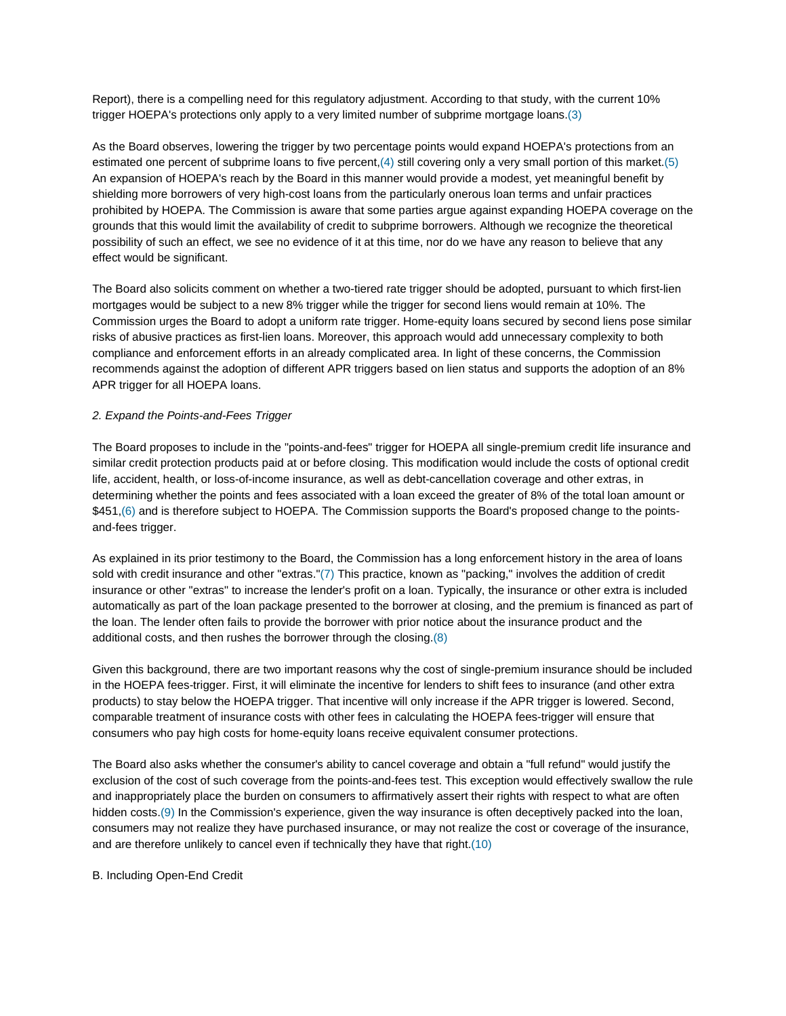Report), there is a compelling need for this regulatory adjustment. According to that study, with the current 10% trigger HOEPA's protections only apply to a very limited number of subprime mortgage loans.(3)

As the Board observes, lowering the trigger by two percentage points would expand HOEPA's protections from an estimated one percent of subprime loans to five percent,(4) still covering only a very small portion of this market.(5) An expansion of HOEPA's reach by the Board in this manner would provide a modest, yet meaningful benefit by shielding more borrowers of very high-cost loans from the particularly onerous loan terms and unfair practices prohibited by HOEPA. The Commission is aware that some parties argue against expanding HOEPA coverage on the grounds that this would limit the availability of credit to subprime borrowers. Although we recognize the theoretical possibility of such an effect, we see no evidence of it at this time, nor do we have any reason to believe that any effect would be significant.

The Board also solicits comment on whether a two-tiered rate trigger should be adopted, pursuant to which first-lien mortgages would be subject to a new 8% trigger while the trigger for second liens would remain at 10%. The Commission urges the Board to adopt a uniform rate trigger. Home-equity loans secured by second liens pose similar risks of abusive practices as first-lien loans. Moreover, this approach would add unnecessary complexity to both compliance and enforcement efforts in an already complicated area. In light of these concerns, the Commission recommends against the adoption of different APR triggers based on lien status and supports the adoption of an 8% APR trigger for all HOEPA loans.

#### *2. Expand the Points-and-Fees Trigger*

The Board proposes to include in the "points-and-fees" trigger for HOEPA all single-premium credit life insurance and similar credit protection products paid at or before closing. This modification would include the costs of optional credit life, accident, health, or loss-of-income insurance, as well as debt-cancellation coverage and other extras, in determining whether the points and fees associated with a loan exceed the greater of 8% of the total loan amount or \$451,(6) and is therefore subject to HOEPA. The Commission supports the Board's proposed change to the pointsand-fees trigger.

As explained in its prior testimony to the Board, the Commission has a long enforcement history in the area of loans sold with credit insurance and other "extras."(7) This practice, known as "packing," involves the addition of credit insurance or other "extras" to increase the lender's profit on a loan. Typically, the insurance or other extra is included automatically as part of the loan package presented to the borrower at closing, and the premium is financed as part of the loan. The lender often fails to provide the borrower with prior notice about the insurance product and the additional costs, and then rushes the borrower through the closing.(8)

Given this background, there are two important reasons why the cost of single-premium insurance should be included in the HOEPA fees-trigger. First, it will eliminate the incentive for lenders to shift fees to insurance (and other extra products) to stay below the HOEPA trigger. That incentive will only increase if the APR trigger is lowered. Second, comparable treatment of insurance costs with other fees in calculating the HOEPA fees-trigger will ensure that consumers who pay high costs for home-equity loans receive equivalent consumer protections.

The Board also asks whether the consumer's ability to cancel coverage and obtain a "full refund" would justify the exclusion of the cost of such coverage from the points-and-fees test. This exception would effectively swallow the rule and inappropriately place the burden on consumers to affirmatively assert their rights with respect to what are often hidden costs.(9) In the Commission's experience, given the way insurance is often deceptively packed into the loan, consumers may not realize they have purchased insurance, or may not realize the cost or coverage of the insurance, and are therefore unlikely to cancel even if technically they have that right.(10)

#### B. Including Open-End Credit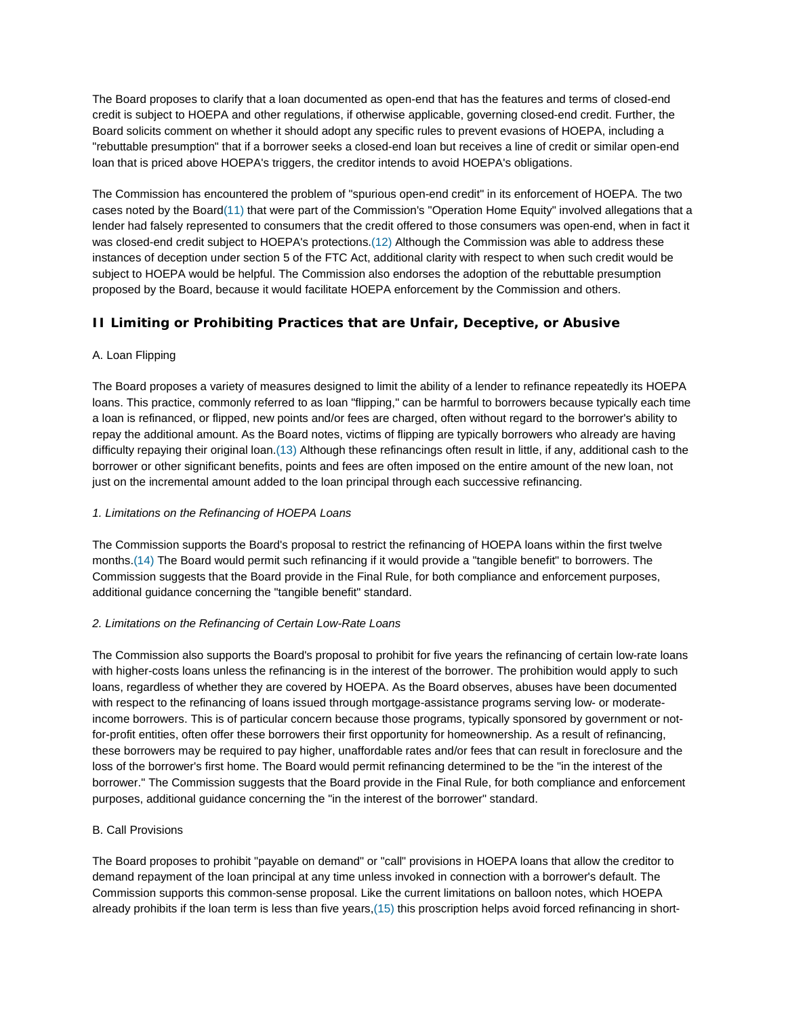The Board proposes to clarify that a loan documented as open-end that has the features and terms of closed-end credit is subject to HOEPA and other regulations, if otherwise applicable, governing closed-end credit. Further, the Board solicits comment on whether it should adopt any specific rules to prevent evasions of HOEPA, including a "rebuttable presumption" that if a borrower seeks a closed-end loan but receives a line of credit or similar open-end loan that is priced above HOEPA's triggers, the creditor intends to avoid HOEPA's obligations.

The Commission has encountered the problem of "spurious open-end credit" in its enforcement of HOEPA. The two cases noted by the Board(11) that were part of the Commission's "Operation Home Equity" involved allegations that a lender had falsely represented to consumers that the credit offered to those consumers was open-end, when in fact it was closed-end credit subject to HOEPA's protections.(12) Although the Commission was able to address these instances of deception under section 5 of the FTC Act, additional clarity with respect to when such credit would be subject to HOEPA would be helpful. The Commission also endorses the adoption of the rebuttable presumption proposed by the Board, because it would facilitate HOEPA enforcement by the Commission and others.

# **II Limiting or Prohibiting Practices that are Unfair, Deceptive, or Abusive**

## A. Loan Flipping

The Board proposes a variety of measures designed to limit the ability of a lender to refinance repeatedly its HOEPA loans. This practice, commonly referred to as loan "flipping," can be harmful to borrowers because typically each time a loan is refinanced, or flipped, new points and/or fees are charged, often without regard to the borrower's ability to repay the additional amount. As the Board notes, victims of flipping are typically borrowers who already are having difficulty repaying their original loan.(13) Although these refinancings often result in little, if any, additional cash to the borrower or other significant benefits, points and fees are often imposed on the entire amount of the new loan, not just on the incremental amount added to the loan principal through each successive refinancing.

## *1. Limitations on the Refinancing of HOEPA Loans*

The Commission supports the Board's proposal to restrict the refinancing of HOEPA loans within the first twelve months.(14) The Board would permit such refinancing if it would provide a "tangible benefit" to borrowers. The Commission suggests that the Board provide in the Final Rule, for both compliance and enforcement purposes, additional guidance concerning the "tangible benefit" standard.

## *2. Limitations on the Refinancing of Certain Low-Rate Loans*

The Commission also supports the Board's proposal to prohibit for five years the refinancing of certain low-rate loans with higher-costs loans unless the refinancing is in the interest of the borrower. The prohibition would apply to such loans, regardless of whether they are covered by HOEPA. As the Board observes, abuses have been documented with respect to the refinancing of loans issued through mortgage-assistance programs serving low- or moderateincome borrowers. This is of particular concern because those programs, typically sponsored by government or notfor-profit entities, often offer these borrowers their first opportunity for homeownership. As a result of refinancing, these borrowers may be required to pay higher, unaffordable rates and/or fees that can result in foreclosure and the loss of the borrower's first home. The Board would permit refinancing determined to be the "in the interest of the borrower." The Commission suggests that the Board provide in the Final Rule, for both compliance and enforcement purposes, additional guidance concerning the "in the interest of the borrower" standard.

## B. Call Provisions

The Board proposes to prohibit "payable on demand" or "call" provisions in HOEPA loans that allow the creditor to demand repayment of the loan principal at any time unless invoked in connection with a borrower's default. The Commission supports this common-sense proposal. Like the current limitations on balloon notes, which HOEPA already prohibits if the loan term is less than five years,(15) this proscription helps avoid forced refinancing in short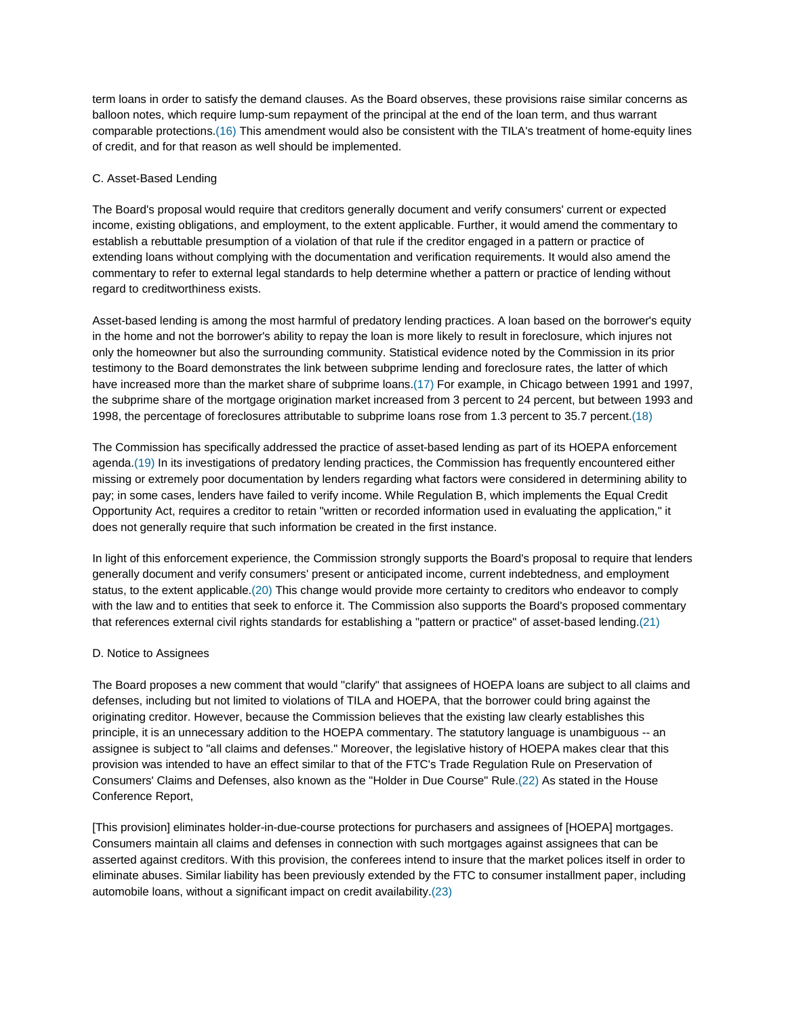term loans in order to satisfy the demand clauses. As the Board observes, these provisions raise similar concerns as balloon notes, which require lump-sum repayment of the principal at the end of the loan term, and thus warrant comparable protections.(16) This amendment would also be consistent with the TILA's treatment of home-equity lines of credit, and for that reason as well should be implemented.

#### C. Asset-Based Lending

The Board's proposal would require that creditors generally document and verify consumers' current or expected income, existing obligations, and employment, to the extent applicable. Further, it would amend the commentary to establish a rebuttable presumption of a violation of that rule if the creditor engaged in a pattern or practice of extending loans without complying with the documentation and verification requirements. It would also amend the commentary to refer to external legal standards to help determine whether a pattern or practice of lending without regard to creditworthiness exists.

Asset-based lending is among the most harmful of predatory lending practices. A loan based on the borrower's equity in the home and not the borrower's ability to repay the loan is more likely to result in foreclosure, which injures not only the homeowner but also the surrounding community. Statistical evidence noted by the Commission in its prior testimony to the Board demonstrates the link between subprime lending and foreclosure rates, the latter of which have increased more than the market share of subprime loans.(17) For example, in Chicago between 1991 and 1997, the subprime share of the mortgage origination market increased from 3 percent to 24 percent, but between 1993 and 1998, the percentage of foreclosures attributable to subprime loans rose from 1.3 percent to 35.7 percent.(18)

The Commission has specifically addressed the practice of asset-based lending as part of its HOEPA enforcement agenda.(19) In its investigations of predatory lending practices, the Commission has frequently encountered either missing or extremely poor documentation by lenders regarding what factors were considered in determining ability to pay; in some cases, lenders have failed to verify income. While Regulation B, which implements the Equal Credit Opportunity Act, requires a creditor to retain "written or recorded information used in evaluating the application," it does not generally require that such information be created in the first instance.

In light of this enforcement experience, the Commission strongly supports the Board's proposal to require that lenders generally document and verify consumers' present or anticipated income, current indebtedness, and employment status, to the extent applicable.(20) This change would provide more certainty to creditors who endeavor to comply with the law and to entities that seek to enforce it. The Commission also supports the Board's proposed commentary that references external civil rights standards for establishing a "pattern or practice" of asset-based lending.(21)

#### D. Notice to Assignees

The Board proposes a new comment that would "clarify" that assignees of HOEPA loans are subject to all claims and defenses, including but not limited to violations of TILA and HOEPA, that the borrower could bring against the originating creditor. However, because the Commission believes that the existing law clearly establishes this principle, it is an unnecessary addition to the HOEPA commentary. The statutory language is unambiguous -- an assignee is subject to "all claims and defenses." Moreover, the legislative history of HOEPA makes clear that this provision was intended to have an effect similar to that of the FTC's Trade Regulation Rule on Preservation of Consumers' Claims and Defenses, also known as the "Holder in Due Course" Rule.(22) As stated in the House Conference Report,

[This provision] eliminates holder-in-due-course protections for purchasers and assignees of [HOEPA] mortgages. Consumers maintain all claims and defenses in connection with such mortgages against assignees that can be asserted against creditors. With this provision, the conferees intend to insure that the market polices itself in order to eliminate abuses. Similar liability has been previously extended by the FTC to consumer installment paper, including automobile loans, without a significant impact on credit availability.(23)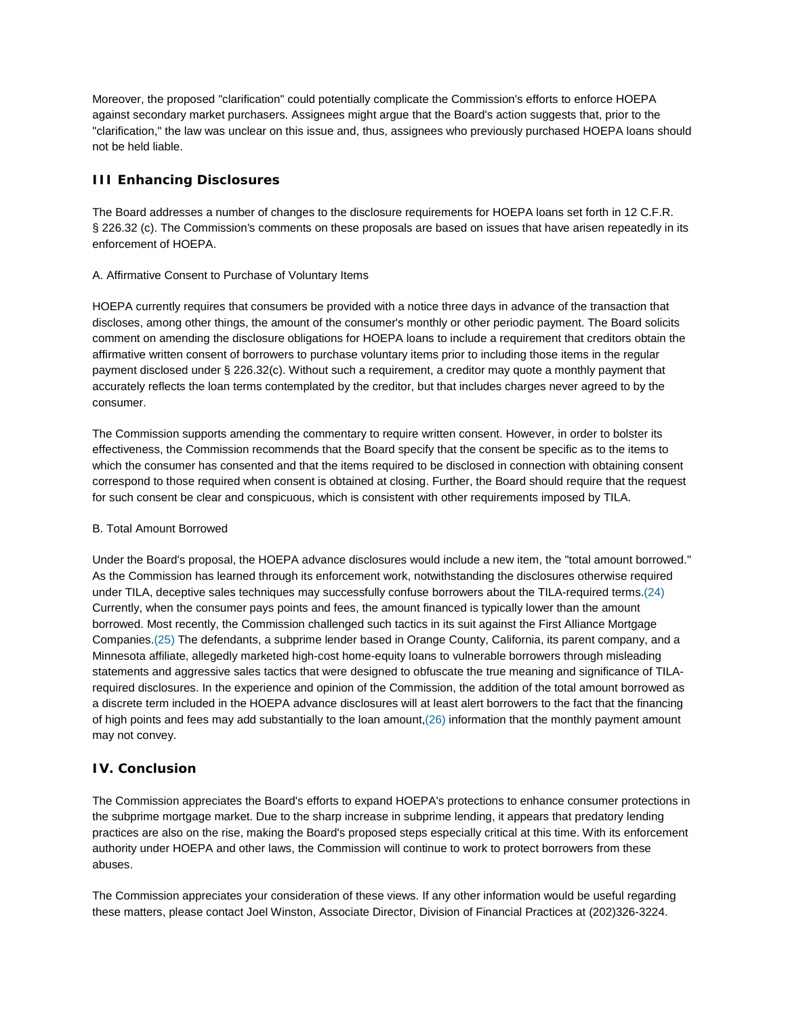Moreover, the proposed "clarification" could potentially complicate the Commission's efforts to enforce HOEPA against secondary market purchasers. Assignees might argue that the Board's action suggests that, prior to the "clarification," the law was unclear on this issue and, thus, assignees who previously purchased HOEPA loans should not be held liable.

# **III Enhancing Disclosures**

The Board addresses a number of changes to the disclosure requirements for HOEPA loans set forth in 12 C.F.R. § 226.32 (c). The Commission's comments on these proposals are based on issues that have arisen repeatedly in its enforcement of HOEPA.

## A. Affirmative Consent to Purchase of Voluntary Items

HOEPA currently requires that consumers be provided with a notice three days in advance of the transaction that discloses, among other things, the amount of the consumer's monthly or other periodic payment. The Board solicits comment on amending the disclosure obligations for HOEPA loans to include a requirement that creditors obtain the affirmative written consent of borrowers to purchase voluntary items prior to including those items in the regular payment disclosed under § 226.32(c). Without such a requirement, a creditor may quote a monthly payment that accurately reflects the loan terms contemplated by the creditor, but that includes charges never agreed to by the consumer.

The Commission supports amending the commentary to require written consent. However, in order to bolster its effectiveness, the Commission recommends that the Board specify that the consent be specific as to the items to which the consumer has consented and that the items required to be disclosed in connection with obtaining consent correspond to those required when consent is obtained at closing. Further, the Board should require that the request for such consent be clear and conspicuous, which is consistent with other requirements imposed by TILA.

## B. Total Amount Borrowed

Under the Board's proposal, the HOEPA advance disclosures would include a new item, the "total amount borrowed." As the Commission has learned through its enforcement work, notwithstanding the disclosures otherwise required under TILA, deceptive sales techniques may successfully confuse borrowers about the TILA-required terms.(24) Currently, when the consumer pays points and fees, the amount financed is typically lower than the amount borrowed. Most recently, the Commission challenged such tactics in its suit against the First Alliance Mortgage Companies.(25) The defendants, a subprime lender based in Orange County, California, its parent company, and a Minnesota affiliate, allegedly marketed high-cost home-equity loans to vulnerable borrowers through misleading statements and aggressive sales tactics that were designed to obfuscate the true meaning and significance of TILArequired disclosures. In the experience and opinion of the Commission, the addition of the total amount borrowed as a discrete term included in the HOEPA advance disclosures will at least alert borrowers to the fact that the financing of high points and fees may add substantially to the loan amount,(26) information that the monthly payment amount may not convey.

## **IV. Conclusion**

The Commission appreciates the Board's efforts to expand HOEPA's protections to enhance consumer protections in the subprime mortgage market. Due to the sharp increase in subprime lending, it appears that predatory lending practices are also on the rise, making the Board's proposed steps especially critical at this time. With its enforcement authority under HOEPA and other laws, the Commission will continue to work to protect borrowers from these abuses.

The Commission appreciates your consideration of these views. If any other information would be useful regarding these matters, please contact Joel Winston, Associate Director, Division of Financial Practices at (202)326-3224.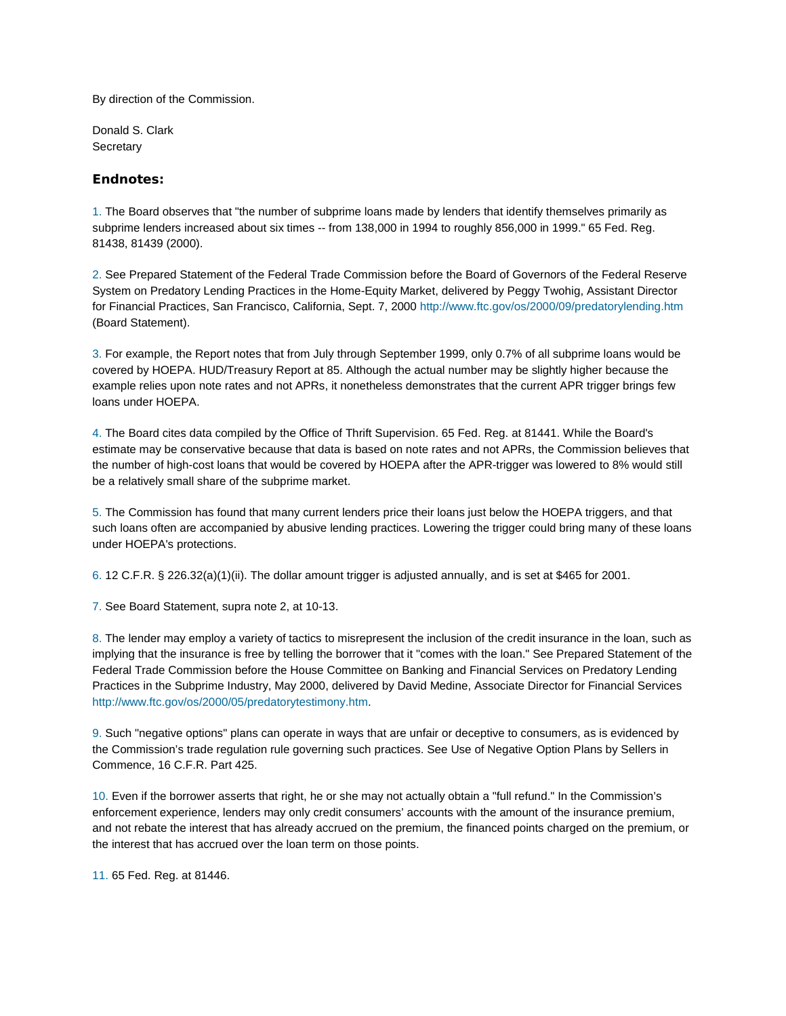By direction of the Commission.

Donald S. Clark **Secretary** 

## **Endnotes:**

1. The Board observes that "the number of subprime loans made by lenders that identify themselves primarily as subprime lenders increased about six times -- from 138,000 in 1994 to roughly 856,000 in 1999." 65 Fed. Reg. 81438, 81439 (2000).

2. See Prepared Statement of the Federal Trade Commission before the Board of Governors of the Federal Reserve System on Predatory Lending Practices in the Home-Equity Market, delivered by Peggy Twohig, Assistant Director for Financial Practices, San Francisco, California, Sept. 7, 2000 http://www.ftc.gov/os/2000/09/predatorylending.htm (Board Statement).

3. For example, the Report notes that from July through September 1999, only 0.7% of all subprime loans would be covered by HOEPA. HUD/Treasury Report at 85. Although the actual number may be slightly higher because the example relies upon note rates and not APRs, it nonetheless demonstrates that the current APR trigger brings few loans under HOEPA.

4. The Board cites data compiled by the Office of Thrift Supervision. 65 Fed. Reg. at 81441. While the Board's estimate may be conservative because that data is based on note rates and not APRs, the Commission believes that the number of high-cost loans that would be covered by HOEPA after the APR-trigger was lowered to 8% would still be a relatively small share of the subprime market.

5. The Commission has found that many current lenders price their loans just below the HOEPA triggers, and that such loans often are accompanied by abusive lending practices. Lowering the trigger could bring many of these loans under HOEPA's protections.

6. 12 C.F.R. § 226.32(a)(1)(ii). The dollar amount trigger is adjusted annually, and is set at \$465 for 2001.

7. See Board Statement, supra note 2, at 10-13.

8. The lender may employ a variety of tactics to misrepresent the inclusion of the credit insurance in the loan, such as implying that the insurance is free by telling the borrower that it "comes with the loan." See Prepared Statement of the Federal Trade Commission before the House Committee on Banking and Financial Services on Predatory Lending Practices in the Subprime Industry, May 2000, delivered by David Medine, Associate Director for Financial Services http://www.ftc.gov/os/2000/05/predatorytestimony.htm.

9. Such "negative options" plans can operate in ways that are unfair or deceptive to consumers, as is evidenced by the Commission's trade regulation rule governing such practices. See Use of Negative Option Plans by Sellers in Commence, 16 C.F.R. Part 425.

10. Even if the borrower asserts that right, he or she may not actually obtain a "full refund." In the Commission's enforcement experience, lenders may only credit consumers' accounts with the amount of the insurance premium, and not rebate the interest that has already accrued on the premium, the financed points charged on the premium, or the interest that has accrued over the loan term on those points.

11. 65 Fed. Reg. at 81446.